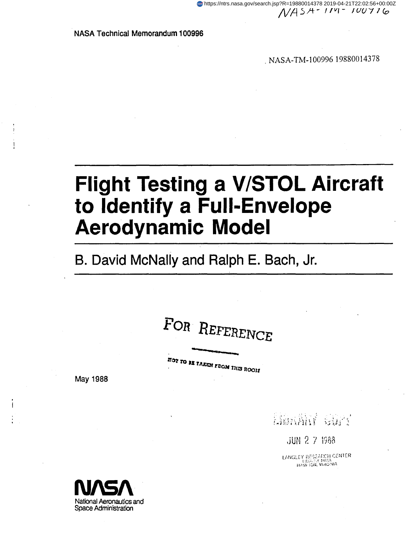**NASA Technical Memorandum** 100996

. NASA-TM-I 00996 19880014378

# **Flight Testing a V/STOL Aircraft to Identify a Full-Envelope Aerodynamic Model**

B. David McNally and Ralph E. Bach, Jr.



HOT TO BE TAKEN FROM THIS ROOM

May **1988** 

Honhiy Gart

JUN 2 7 1988

**LANGLEY RESEARCH CENTER**<br>LIBRARY NASA<br>HAMFION, VIRGINIA

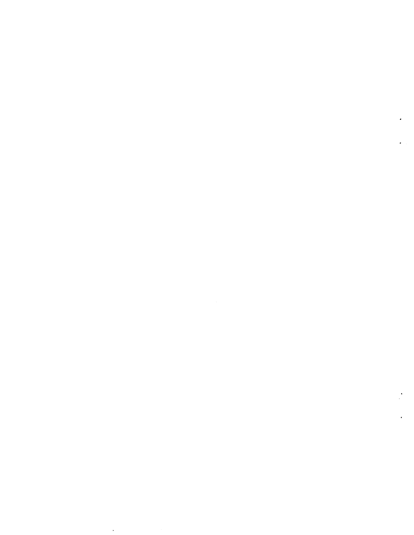$\bullet$  $\epsilon_{\rm{max}}$  $\frac{1}{2}$  $\epsilon$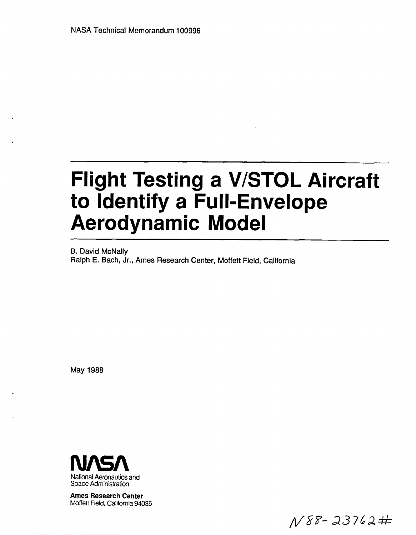# **Flight Testing a V/STOL Aircraft to Identify a Full-Envelope Aerodynamic Model**

 $N88 - 23762#$ 

B. David McNally Ralph E. Bach, Jr., Ames Research Center, Moffett Field, California

May 1988



**Ames Research Center**  Moffett Field, California 94035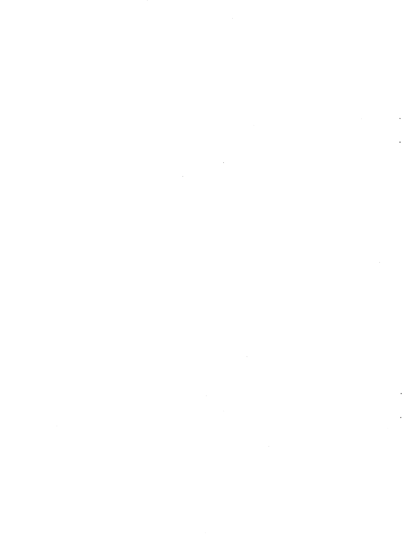$\bullet$  .  $\mathcal{L}^{\pm}$  $\label{eq:2.1} \frac{1}{\sqrt{2}}\left(\frac{1}{\sqrt{2}}\right)^{2} \left(\frac{1}{\sqrt{2}}\right)^{2} \left(\frac{1}{\sqrt{2}}\right)^{2} \left(\frac{1}{\sqrt{2}}\right)^{2} \left(\frac{1}{\sqrt{2}}\right)^{2} \left(\frac{1}{\sqrt{2}}\right)^{2} \left(\frac{1}{\sqrt{2}}\right)^{2} \left(\frac{1}{\sqrt{2}}\right)^{2} \left(\frac{1}{\sqrt{2}}\right)^{2} \left(\frac{1}{\sqrt{2}}\right)^{2} \left(\frac{1}{\sqrt{2}}\right)^{2} \left(\$  $\mathcal{L}^{\text{max}}_{\text{max}}$  and  $\mathcal{L}^{\text{max}}_{\text{max}}$  $\mathcal{L}(\mathcal{L})$  and  $\mathcal{L}(\mathcal{L})$  .  $\label{eq:2.1} \mathcal{L}(\mathcal{L}^{\mathcal{L}}_{\mathcal{L}}(\mathcal{L}^{\mathcal{L}}_{\mathcal{L}})) \leq \mathcal{L}(\mathcal{L}^{\mathcal{L}}_{\mathcal{L}}(\mathcal{L}^{\mathcal{L}}_{\mathcal{L}})) \leq \mathcal{L}(\mathcal{L}^{\mathcal{L}}_{\mathcal{L}}(\mathcal{L}^{\mathcal{L}}_{\mathcal{L}}))$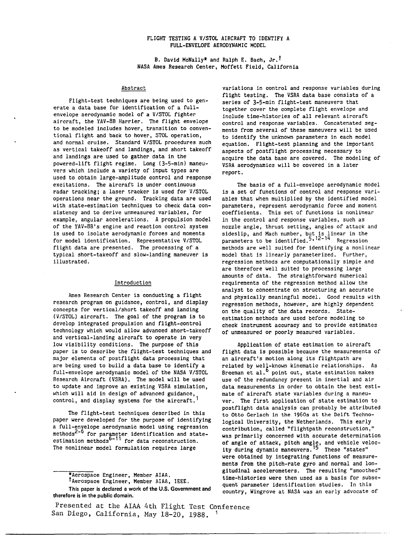# FLIGHT TESTING A V/STOL AIRCRAFT TO IDENTIFY A FULL-ENVELOPE AERODYNAMIC MODEL

B. David McNally\* and Ralph E. Bach, Jr.<sup>†</sup> NASA Ames Research Center, Moffett Field, California

# Abstract

Flight-test techniques are being used to generate a data base for identification of a fullenvelope aerodynamic model of a V/STOL fighter aircraft, the YAV-8B Harrier. The flight envelope to be modeled includes hover, transition to conventional flight and back to hover, STOL operation, and normal cruise. Standard V/STOL procedures such as vertical takeoff and landings, and short takeoff and landings are used to gather data in the powered-lift flight regime. Long (3-5-min) maneuvers which include a variety of input types are used to obtain large-amplitude control and response excitations. The aircraft is under continuous radar tracking; a laser tracker is used for V/STOL operations near the ground. Tracking data are used with state-estimation techniques to check data consistency and to derive unmeasured variables, for example, angular accelerations. A propulsion model of the YAV-8B's engine and reaction control system is used to isolate aerodynamic forces and moments for model identification. Representative V/STOL flight data are presented. The processing of a typical short-takeoff and slow-landing maneuver is illustrated.

#### Introduction

Ames Research Center is conducting a flight research program on guidance, control, and display concepts for vertical/short takeoff and landing (V/STOL) aircraft. The goal of the program is to develop integrated propulsion and flight-control technology which would allow advanced short-takeoff and vertical-landing aircraft to operate in very low visibility conditions. The purpose of this paper is to describe the flight-test techniques and major elements of postflight data processing that are being used to build a data base to identify a full-envelope aerodynamic model of the NASA V/STOL Research Aircraft (VSRA). The model will be used to update and improve an existing VSRA simulation, which will aid in design of advanced guidance, control, and display systems for the aircraft.

The flight-test techniques described in this paper were developed for the purpose of identifying a full-envelope aerodynamic model using regression methods<sup>2-0</sup> for parameter identification and stateestimation methods<sup>o-11</sup> for data reconstruction. The nonlinear model formulation requires large

variations in control and response variables during flight testing. The VSRA data base consists of a series of 3-5-min flight-test maneuvers that together cover the complete flight envelope and include time-histories of all relevant aircraft control and response variables. Concatenated segments from several of these maneuvers will be used to identify the unknown parameters in each model equation. Flight-test planning and the important aspects of postflight processing necessary to acquire the data base are covered. The modeling of VSRA aerodynamics will be covered in a later report.

The basis of a full-envelope aerodynamic model is a set of functions of control and response variables that when multiplied by the identified model parameters, represent aerodynamic force and moment coefficients. This set of functions is nonlinear in the control and response variables, such as nozzle angle, thrust setting, angles of attack and sideslip, and Mach number, but is linear in the parameters to be identified.<sup>3, 12-14</sup> Regression methods are well suited for identifying a nonlinear model that is linearly parameterized. Further, regression methods are computationally simple and are therefore well suited to processing large amounts of data. The straightforward numerical requirements of the regression method allow the analyst to concentrate on structuring an accurate and physically meaningful model. Good results with regression methods, however, are highly dependent on the quality of the data records. Stateestimation methods are used before modeling to check instrument accuracy and to provide estimates of unmeasured or poorly measured variables.

Application of state estimation to aircraft flight data is possible because the measurements of an aircraft's motion along its flightpath are related by well-known kinematic relationships. As Breeman et al. $^0$  point out, state estimation makes use of the redundancy present in inertial and air data measurements in order to obtain the best estimate of aircraft state variables during a maneuver. The first application of state estimation to postflight data analysis can probably be attributed to Otto Cerlach in the **1960s** at the Delft Technological University, the Netherlands. This early contribution, called "flightpath reconstruction," was primarily concerned with accurate determination of angle of attack, pitch angle, and vehicle velocity during dynamic maneuvers.'<sup>5</sup> These "states" were obtained by integrating functions of measurements from the pitch-rate gyro and normal and longitudinal accelerometers. The resulting "smoothed" Aerospace Engineer, Member AIAA.<br>
The property of the U.S. Government and<br>
time-histories were then used as a basis for subsequent parameter identification studies. In this<br>
therefore is in the public domain.<br>
therefore is

Presented at the AIAA **4th** Flight Test Conference San Diego, California, May 18-20, 1988. **1**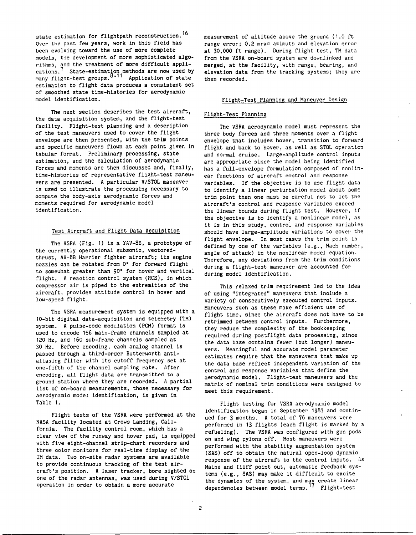state estimation for flightpath reconstruction.<sup>16</sup> Over the past few years, work in this field has been evolving toward the use of more complete models, the development of more sophisticated algorithms, and the treatment of more difficult applications.' State-estimation methods are now used by many flight-test groups.  $1$   $\blacksquare$  . Application of state estimation to flight data produces a consistent set of smoothed state time-histories for aerodynamic model identification.

The next section describes the test aircraft, the data acquisition system, and the flight-test facility. Flight-test planning and a description of the test maneuvers used to cover the flight envelope are then presented, with the trim points and specific maneuvers flown at each point given in tabular format. Preliminary processing, state estimation, and the calculation of aerodynamic forces and moments are then discussed and, finally, time-histories of representative flight-test maneuvers are presented. A particular V/STOL maneuver is used to illustrate the processing necessary to compute the body-axis aerodynamic forces and moments required for aerodynamic model identification.

# Test Aircraft and Flight Data Acquisition

The VSRA (Fig. 1) is a YAV-8B, a prototype of the currently operational subsonic, vectoredthrust, AV-8B Harrier fighter aircraft; its engine nozzles can be rotated from 0° for forward flight to somewhat greater than 90° for hover and vertical flight. A reaction control system (RCS), in which compressor air is piped to the extremities of the aircraft, provides attitude control in hover and low-speed flight.

The VSRA measurement system is equipped with a 10-bit digital data-acquisition and telemetry (TM) system. A pulse-code modulation (PCM) format is used to encode 156 main-frame channels sampled at 120 Hz, and 160 sub-frame channels sampled at 30 Hz. Before encoding, each analog channel is passed through a third-order Butterworth antialiasing filter with its cutoff frequency set at one-fifth of the channel sampling rate. After encoding, all flight data are transmitted to a ground station where they are recorded. A partial list of on-board measurements, those necessary for aerodynamic model identification, is given in Table 1.

Flight tests of the VSRA were performed at the NASA facility located at Crows Landing, California. The facility control room, which has a clear view of the runway and hover pad, is equipped with five eight-channel strip-chart recorders and three color monitors for real-time display of the TM data. Two on-site radar systems are available to provide continuous tracking of the test aircraft's position. A laser tracker, bore sighted on one of the radar antennas, was used during V/STOL operation in order to obtain a more accurate

measurement of altitude abovs the ground (1.0 ft range error; 0.2 mrad azimuth and elevation error at 30,000 ft range). During flight test, TM data from the VSRA on-board system are downlinked and merged, at the facility, with range, bearing, and elevation data from the tracking systems; they are then recorded.

## Flight-Test Planning and Maneuver Design

# Flight-Test Planning

The VSRA aerodynamic model must represent the three body forces and three moments over a flight envelope that includes hover, transition to forward flight and back to hover, as well as STOL operation and normal cruise. Large-amplitude control inputs are appropriate since the model being identified has a full-envelope formulation composed of noniinear functions of aircraft control and response variables. If the objective is to use flight data to identify a linesr perturbation model about some trim point then one must be careful not to let the aircraft's control and response variables exceed the linear bounds during flight test. However, if the objective is to identify a nonlinear model, as it is in this study, control and response variables should have large-amplitude variations to cover the flight envelope. In most cases the trim point is defined by one of the variables (e.g., Mach number, angle of attack) in the nonlinear model equation. Therefore, any deviations from the trim conditions during a flight-test maneuver are accounted for during model identification.

This relaxed trim requirement led to the idea of using "integrated" maneuvers that include a variety of consecutively executed control inputs. Maneuvers such as these make efficient use of flight time, since the aircraft does not have to be retrimmed between control inputs. Furthermore, they reduce the complexity of the bookkeeping required during postflight data processing, since the data base contains fewer (but longer) maneuvers. Meaningful and accurate model parameter estimates require that the maneuvers that make up the data base reflect independent variation of the control and response variables that define the aerodynamic model. Flight-test maneuvers and the matrix of nominal trim conditions were designed to meet this requirement.

Flight testing for VSRA aerodynamic model identification began in September 1987 and continued for 3 months. A total of 76 maneuvers were performed in 13 flights (each flight is marked by **s**  refueling). The VSRA was configured with gun pods on and wing pylons off. Most maneuvers were performed with the stability augmentation system (SAS) off to obtain the natural open-loop dynamic response of the aircraft to the control inputs. As Maine and Iliff point out, automatic feedback systems (e.g., **SAS)** may make it difficult to excite the dynamics of the system, and may create linear dependencies between model terms.<sup>17</sup> Flight-test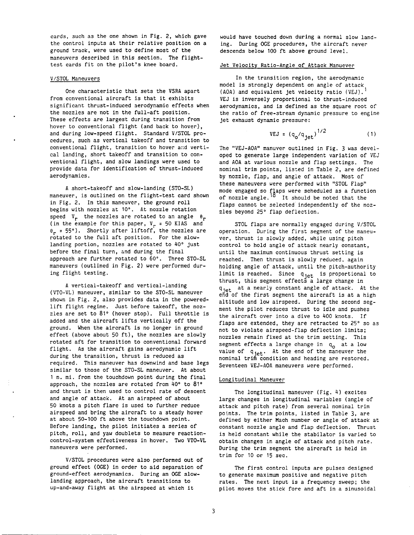cards, such as the one shown in Fig. 2, which gave the control inputs at their relative position on a ground track, were used to define most of the maneuvers described in this section. The flighttest cards fit on the pilot's knee board.

# V/STOL Maneuvers

One characteristic that sets the VSRA apart from conventional aircraft is that it exhibits significant thrust-induced aerodynamic effects when the nozzles are not in the full-aft position. These effects are largest during transition from hover to conventional flight (and back to hover), and during low-speed flight. Standard V/STOL procedures, such as vertical takeoff and transition to conventional flight, transition to hover and vertical landing, short takeoff and transition to conventional flight, and slow landings were used to provide data for identification of thrust-induced aerodynamics.

A short-takeoff and slow-landing (STO-SL) maneuver, is outlined on the flight-test card shown in Fig. 2. In this maneuver, the ground roll begins with nozzles at 10'. At nozzle rotation speed  $V_r$  the nozzles are rotated to an angle  $\theta_r$ (in the example for this paper,  $V_r$  = 50 KIAS and  $\theta_r$  = 55°). Shortly after liftoff, the nozzles are rotated to the full aft position. For the slowlanding portion, nozzles are rotated to 40° just before the final turn, and during the final approach are further rotated to 60°. Three STO-SL maneuvers (outlined in Fig. 2) were performed during flight testing.

A vertical-takeoff and vertical-landing (VTO-VL) maneuver, similar to the STO-SL maneuver shown in Fig. 2, also provides data in the poweredlift flight regime. Just before takeoff, the nozzles are set to 81° (hover stop). Full throttle is added and the aircraft lifts vertically off the ground. When the aircraft is no longer in ground effect (above about 50 ft), the nozzles are slowly rotated aft for transition to conventional forward flight. As the aircraft gains aerodynamic lift during the transition, thrust is reduced as required. This maneuver has downwind and base legs similar to those of the STO-SL maneuver. At about 1 n. mi. from the touchdown point during the final approach, the nozzles are rotated from 40° to 81° and thrust is then used to control rate of descent and angle of attack. At an airspeed of about 50 knots a pitch flare is used to further reduce airspeed and bring the aircraft to a steady hover at about 50-100 ft above the touchdown point. Before landing, the pilot initiates a series of pitch, roll, and yaw doublets to measure reactioncontrol-system effectiveness in hover. Two VTO-VL maneuvers were performed.

V/STOL procedures were also performed out of ground effect (WE) in order to aid separation of ground-effect aerodynamics. During an OGE slowlanding approach, the aircraft transitions to up-and-away flight at the airspeed at which it

would have touched down during a normal slow landing. During OGE procedures, the aircraft never descends below 100 ft above ground level.

# Jet Velocity Ratio-Angle of Attack Manuever

In the transition region, the aerodynamic model is strongly dependent on angle of attack (AOA) and equivalent jet velocity ratio (VEJ).<sup>1</sup> VEJ is inversely proportional to thrust-induced aerodynamics, and is defined as the square root of the ratio of free-stream dynamic pressure to engine jet exhaust dynamic pressure:

$$
VEJ = (q_0/q_{jet})^{1/2}
$$
 (1)

The "VEJ-AOA" manuver outlined in Fig. **3** was developed to generate large independent variation of **VEJ**  and AOA at various nozzle and flap settings. The nominal trim points, lisced in Table 2, are defined by nozzle, flap, and angle of attack. Most of these maneuvers were performed with "STOL Flap" mode engaged so flaps were scheduled as a function<br>of nozzle angle.<sup>18</sup> It should be noted that the flaps cannot be selected independently of the nozzles beyond 25° flap deflection.

STOL flaps are normally engaged during V/STOL operation. During the first segment of the maneuver, thrust is slowly added, while using pitch control to hold angle of attack nearly constant, until the maximum continuous thrust setting is reached. Then thrust is slowly reduced, again holding angle of attack, until the pitch-authority limit is reached. Since q<sub>iet</sub> is proportional to thrust, this segment effects a large change in q<sub>jet</sub> at a nearly constant angle of attack. At the end of the first segment the aircraft is at a high altitude and low airspeed. During the second segment the pilot reduces thrust to idle and pushes the aircraft over into a dive to 400 knots. If flaps are extended, they are retracted to 25° so as not to violate airspeed-flap deflection limits; nozzles remain fixed at the trim setting. This segment effects a large change in q<sub>o</sub> at a low value of q<sub>jet</sub>. At the end of the maneuver the nominal trim condition and heading are restored. Seventeen VEJ-AOA maneuvers were performed.

#### Longitudinal Maneuver

The longitudinal maneuver (Fig. 4) excites large changes in longitudinal variables (angle of attack and pitch rate) from several nominal trim points. The trim points, listed in Table 3, are defined by either Mach number or angle of attack at constant nozzle angle and flap deflection. Thrust is held constant while the stabilator is varied to obtain changes in angle of attack and pitch rate. During the trim segment the aircraft is held in trim for 10 or 15 sec.

The first control inputs are pulses designed to generate maximum positive and negative pitch rates. The next input is a frequency sweep; the pilot moves the stick fore and aft in a sinusoidal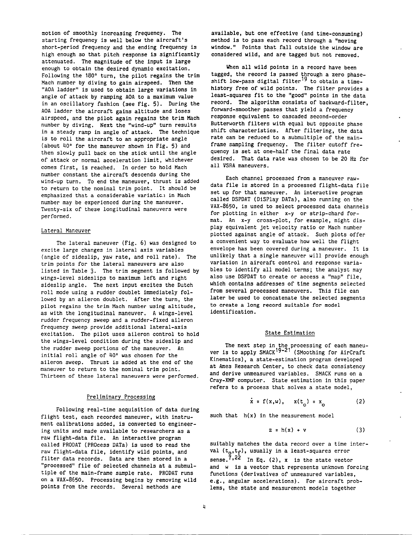motion of smoothly increasing frequency. The starting frequency is well below the aircraft's short-period frequency and the ending frequency is high enough so that pitch response is significantly attenuated. The magnitude of the input is large enough to obtain the desired dynamic excitation. Following the 180° turn, the pilot regains the trim Mach number by diving to gain airspeed. Then the "AOA ladder" is used to obtain large variations in angle of attack by ramping AOA to a maximum value in an oscillatory fashion (see Fig. **5).** During the AOA ladder the aircraft gains altitude and loses airspeed, and the pilot again regains the trim Mach number by diving. Next the "wind-up" turn results in a steady ramp in angle of attack. The technique is to roll the aircraft to an appropriate angle (about 40° for the maneuver shown in Fig. 5) and then slowly pull back on the stick until the angle of attack or normal acceleration limit, whichever comes first, is reached. In order to hold Mach number constant the aircraft descends during the<br>wind-up turn. To end the maneuver, thrust is added<br>to nature to the narinel turn anist . It should be a data file is stored in a processed flight-data file to return to the nominal trim point. It should be data file is stored in a processed flight-data file<br>set up for that maneuver. An interactive program emphasized that a considerable variatic.1 in Mach set up for that maneuver. An interactive program<br>called DSPDAT (DiSPlay DATa), also running on the number may be experienced during the maneuver.<br>Tuesday of these longitudinal maneuvers uses and the called box of the called DSPDAT (Display DATa), also running on the Twenty-six of these longitudinal maneuvers were performed. for plotting in either x-y or strip-chard for-

# Lateral Maneuver

The lateral maneuver (Fig. 6) was designed to excite large changes in lateral axis variables (angle of sideslip, yaw rate, and roll rate). The trim points for the lateral maneuvers are also listed in Table 3. The trim segment is followed by wings-level sideslips to maximum left and right sideslip angle. The next input excites the Dutch roll mode using a rudder doublet immediately followed by an aileron doublet. After the turn, the pilot regains the trim Mach number using altitude, as with the longitudinal maneuver. A wings-level rudder frequency sweep and a rudder-fixed aileron frequency sweep provide additional lateral-axis excitation. The pilot uses aileron control to hold the wings-level condition during the sideslip and the rudder sweep portions of the maneuver. An initial roli angle of 40° was chosen for the aileron sweep. Thrust is added at the end of the maneuver to return to the nominal trim point. Thirteen of these lateral maneuvers were performed

## Preliminary Processing

Following real-time acquisition of data during flight test, each recorded maneuver, with instrument calibrations added, is converted to engineering units and made available to researchers as a raw flight-data file. An interactive program called PRODAT (PROcess DATa) is used to read the raw flight-data file, identify wild points, and filter data records. Data are then stored in a "processed" file of selected channels at a submultiple of the main-frame sample rate. PRODAT runs on a VAX-8650. Processing begins by removing wild points from the records. Several methods are

available, but one effective (and time-consuming) method is to pass each record through a "moving window." Points that fall outside the window are considered wild, and are tagged but not removed.

When all wild points in a record have been tagged, the record is passed through a zero phaseshift low-pass digital filter<sup>19</sup> to obtain a timehistory free of wild points. The filter provides a least-squares fit to the "good" points in the data record. The algorithm consists of backward-filter, forward-smoother passes that yield a frequency response equivalent to cascaded second-order Butterworth filters with equal but opposite phase shift characteristics. After filtering, the data rate can be reduced to a submultiple of the mainframe sampling frequency. The filter cutoff frequency is set at one-half the final data rate desired. That data rate was chosen to be 20 Hz for all VSRA maneuvers.

mat. An x-y cross-plot, for example, might display equivalent jet velocity ratio or Mach number plotted against angle of attack. Such plots offer a convenient way to evaluate how well the flight envelope has been covered during a maneuver. It is unlikely that a single maneuver will provide enough variation in aircraft control and response variables to identify all model terms; the analyst may also use DSPDAT to create or access a "map" file, which contains addresses of time segments selected from several processed maneuvers. This file can later be used to concatenate the selected segments to create a long record suitable for model identification.

# State Estimation

The next step in the processing of each maneuver is to apply SMACK<sup>19-21</sup> (SMoothing for AirCraft Kinematics), a state-estimation program developed at Ames Research Center, to check data consistency and derive unmeasured variables. SMACK runs on a Cray-XMP computer. State estimation in this paper refers to a process that solves a state model,

$$
\dot{x} = f(x, w), \quad x(t_0) = x_0 \tag{2}
$$

such that  $h(x)$  in the measurement model

$$
z = h(x) + v \tag{3}
$$

suitably matches the data record over a time interval  $(t_0, t_f)$ , usually in a least-squares error sense.<sup>7,22</sup> In Eq. (2), x is the state vector and w is a vector that represents unknown forcing functions (derivatives of unmeasured variables, e.g., angular accelerations). For aircraft problems, the state and measurement models together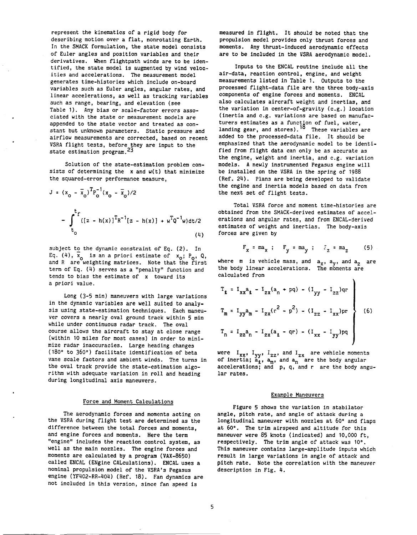represent the kinematics of a rigid body for describing motion over a flat, nonrotating Earth. In the SMACK formulation, the state model consists of Euler angles and position variables and their derivatives. When flightpath winds are to be identified, the state model is augmented by wind velocities and accelerations. The measurement model generates time-histories which include on-board variables such as Euler angles, angular rates, and linear accelerations, as well as tracking variables such as range, bearing, and elevation (see Table 1). Any bias or scale-factor errors associated with the state or measurement models are appended to the state vector and treated as constant but unknown parameters. Static pressure and airflow measurements are corrected, based on recent VSRA flight tests, before they are input to the state estimation program.23

Solution of the state-estimation problem consists of determining the  $x$  and  $w(t)$  that minimize the squared-error performance measure,

 $\sim$   $\sim$ 

$$
J = (x_0 - \overline{x}_0)^T P_0^{-1} (x_0 - \overline{x}_0) / 2
$$
  
- 
$$
\int_{t_0}^{t_f} \{ [z - h(x)]^T R^{-1} [z - h(x)] + w^T Q^{-1} w \} dt / 2
$$
 (4)

subject to the dynamic constraint of Eq. (2). In Eq. (4),  $x_0$  is an a priori estimate of  $x_0$ ;  $P_0$ , Q, and R are weighting matrices. Note that the first term of Eq. (4) serves as a "penalty" function and tends to bias the estimate of **x** toward its a priori value.

Long (3-5 min) maneuvers with large variations in the dynamic variables are well suited to analysis using state-estimation techniques. Each maneuver covers a nearly oval ground track within 5 min while under continuous radar track. The oval course allows the aircraft to stay at close range (within 10 miles for most cases) in order to minimize radar inaccuracies. Large heading changes (180° to 360°) facilitate identification of beta vane scale factors and ambient winds. The turns in the oval track provide the state-estimation algorithm with adequate variation in roll and heading during longitudinal axis maneuvers.

#### Force and Moment Calculations

The aerodynamic forces and moments acting on the VSRA during flight test are determined as the difference between the total forces and moments, and engine forces and moments. Here the term "engine" includes the reaction control system, as well as the main nozzles. The engine forces and moments are calculated by a program (VAX-8650) called ENCAL (ENgine CALculations). ENCAL uses a nominal propulsion model of the VSRA's Pegasus engine (YF402-RR-404) (Ref. 18). Fan dynamics are not included in this version, since fan speed is

measured in flight. It should be noted that the propulsion model provides only thrust forces and moments. Any thrust-induced aerodynamic effects are to be included in the VSRA aerodynamic model.

Inputs to the ENCAL routine include all the air-data, reaction control, engine, and weight measurements listed in Table 1. Outputs to the processed flight-data file are the three body-axis components of engine forces and moments. ENCAL also calculates aircraft weight and inertias, and the variation in center-of-gravity (c.g. ) location (inertia and c.g. variations are based on manufacturers estimates as a function of fuel, water, landing gear, and stores).'<sup>0</sup> These variables are added to the processed-data file. It should be emphasized that the aerodynamic model to be identified from flight data can only be as accurate as the engine, weight and inertia, and c.g. variation models. A newly instrumented Pegasus engine will be installed on the VSRA in the spring of 1988 (Ref. 24). Plans are being developed to validate the engine and inertia models based on data from the next set of flight tests.

Total VSRA force and moment time-histories are obtained from the SMACK-derived estimates of accelerations and angular rates, and from ENCAL-derived estimates of weight and inertias. The body-axis forces are given by

$$
F_x = ma_x ; F_y = ma_y ; \quad \tilde{z}_2 = ma_z
$$
 (5)

where  $m$  is vehicle mass, and  $a_x$ ,  $a_y$ , and  $a_z$  are the body linear accelerations. The moments are calculated from

$$
T_{\ell} = I_{xx}a_{\ell} - I_{zx}(a_{n} + pq) - (I_{yy} - I_{zz})qr
$$
  
\n
$$
T_{m} = I_{yy}a_{m} - I_{zx}(r^{2} - p^{2}) - (I_{zz} - I_{xx})pr
$$
  
\n
$$
T_{n} = I_{zz}a_{n} - I_{zx}(a_{\ell} - qr) - (I_{xx} - I_{yy})pq
$$
\n(6)

were I<sub>XX</sub>, I<sub>yy</sub>, I<sub>ZZ</sub>, and I<sub>ZX</sub> are vehicle moments<br>of inertia; a<sub>0</sub>, a<sub>m</sub>, and a<sub>n</sub> are the body angular accelerations; and p, q, and r are the body angular rates.

# Example Maneuvers

Figure **5** shows the variation in stabilator angle, pitch rate, and angle of attack during a longitudinal maneuver with nozzles at 60° and flaps at 60°. The trim airspeed and altitude for this maneuver were 85 knots (indicated) and 10,000 ft, respectively. The trim angle of attack was  $10^{\circ}$ . This maneuver contains large-amplitude inputs which result in large variations in angle of attack and pitch rate. Note the correlation with the maneuver description in Fig. 4.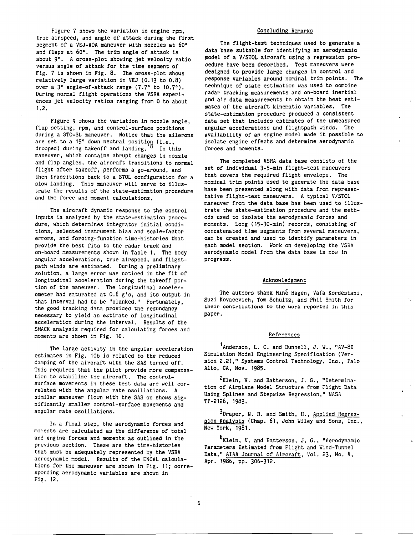Figure 7 shows the variation in engine rpm. true airspeed, and angle of attack during the first segment of a VEJ-AOA maneuver with nozzles at 60° and flaps at 60°. The trim angle of attack is about  $9^\circ$ . A cross-plot showing jet velocity ratio versus angle of attack for the time segment of Fig. 7 is shown in Fig. 8. The cross-plot shows relatively large variation in VEJ (0.13 to 0.8) over a  $3^{\circ}$  angle-of-attack range  $(7.7^{\circ}$  to  $10.7^{\circ})$ . During normal flight operations the VSRA experiences jet velocity ratios ranging from 0 to about 1.2.

Figure **9** shows the variation in nozzle angle, flap setting, rpm, and control-surface positions during a STO-SL maneuver. Notice that the ailerons are set to a 15° down neutral position (i.e., drooped) during takeoff and landing.<sup>18</sup> In this maneuver, which contains abrupt changes in nozzle and flap angles, the aircraft transitions to normal flight after takeoff, performs a go-around, and then transitions back to a STOL configuration for a slow landing. This maneuver will serve to illustrate the results of the state-estimation procedure and the force and moment calculations.

The aircraft dynamic response to the control inputs is analyzed by the state-estimation procedure, which determines integrator initial conditions, selected instrument bias and scale-factor errors, and forcing-function time-histories that provide the best fits to the radar track and on-board measurements shown in Table 1. The body angular accelerations, true airspeed, and flightpath winds are estimated. During a preliminary solution, a large error was noticed in the fit of longitudinal acceleration during the takeoff portion of the maneuver. The longitudinal accelerometer had saturated at 0.6 g's, and its output in that interval had to be "blanked." Fortunately, the good tracking data provided the redundancy necessary to yield an estimate of longitudinal acceleration during the interval. Results of the SMACK analysis required for calculating forces and moments are shown in Fig. 10.

The large activity in the angular acceleration estimates in Fig. lob is related to the reduced damping of the aircraft with the SAS turned off. This requires that the pilot provide more compensation to stabilize the aircraft. The controlsurface movements in these test data are well correlated with the angular rate oscillations. A similar maneuver flown with the SAS on shows significantly smaller control-surface movements and angular rate oscillations.

In a final step, the aerodynamic forces and moments are calculated as the difference of total and engine forces and moments as outlined in the previous section. These are the time-histories that must be adequately represented by the VSRA aerodynamic model. Results of the ENCAL calculations for the maneuver are shown in Fig. 11; corresponding aerodynamic variables are shown in Fig. 12.

# Concluding Remarks

The flight-test techniques used to generate a data base suitable for identifying an aerodynamic model of a V/STOL aircraft using a regression procedure have been described. Test maneuvers were designed to provide large changes in control and response variables around nominal trim points. The technique of state estimation was used to combine radar tracking measurements and on-board inertial and air data measurements to obtain the best estimates of the aircraft kinematic variables. The state-estimation procedure produced a consistent data set that includes estimates of the unmeasured angular accelerations and flightpath winds. The availability of an engine model made it possible to isolate engine effects and determine aerodynamic forces and moments.

The completed VSRA data base consists of the set of individual 3-5-min flight-test maneuvers that covers the required flight envelope. The nominal trim points used to generate the data base have been presented along with data from representative flight-test maneuvers. A typical V/STOL maneuver from the data base has been used to illustrate the state-estimation procedure and the methods used to isolate the aerodynamic forces and moments. Long (15-30-min) records, consisting of concatenated time segments from several maneuvers, can be created and used to identify parameters in each model section. Work on developing the VSRA aerodynamic model from the data base is now in progress.

# Acknowledgment

The authors thank Mine Hagen, Vafa Kordestani, Suzi Kovacevich, Tom Schultz, and Phil Smith for their contributions to the work reported in this paper.

## References

 $<sup>1</sup>$ Anderson, L. C. and Bunnell, J. W., "AV-8B</sup> Simulation Model Engineering Specification (Version 2.2)," Systems Control Technology, Inc., Palo Alto, CA, Nov. 1985.

<sup>2</sup>Klein, V. and Batterson, J. G., "Determination of Airplane Model Structure from Flight Data Using Splines and Stepwise Regression," NASA TP-2126, 1983.

3Draper, N. R. and Smith, H., Applied Regression Analysis (Chap. 6), John Wiley and Sons, Inc., New York, 1981.

<sup>4</sup>Klein, V. and Batterson, J. G., "Aerodynamic Parameters Estimated from Flight and Wind-Tunnel Data," AIAA Journal of Aircraft, Vol. 23, No. 4, Apr. 1986, pp. 306-312.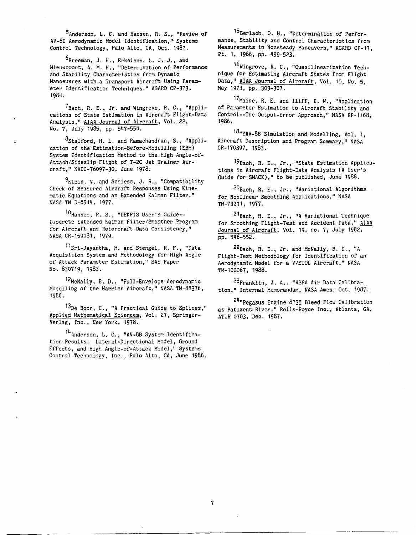5Anderson, L. C. and Hansen, R. S., "Review of AV-8B Aerodynamic Model Identification," Systems Control Technology, Palo Alto, CA, Oct. 1987.

 $6$ Breeman. J. H., Erkelens, L. J. J., and Nieuwpoort, A. M. H., "Determination of Performance and Stability Characteristics from Dynamic Manoeuvres with a Transport Aircraft Using Parameter Identification Techniques," AGARD CP-373, 1984.

7Bach, R. E., Jr. and Wingrove, R. C., "Applications of State Estimation in Aircraft Flight-Data Analysis," AIAA Journal of Aircraft, Vol. 22, No. 7, July 1985, pp. 547-554.

8Stalford, H. L. and Ramachandran, S., "Application of the Estimation-Before-Modelling (EBM) System Identification Method to the High Angle-of-Attach/Sideslip Flight of T-2C Jet Trainer Aircraft, " NADC-76097-30, June 1978.

 $9$ Klein, V. and Schiess, J. R., "Compatibility Check of Measured Aircraft Responses Using Kinematic Equations and an Extended Kalman Filter," NASA TN D-8514, 1977.

10<sub>Hansen</sub>, R. S., "DEKFIS User's Guide--Discrete Extended Kalman Filter/Smoother Program for Aircraft and Rotorcraft Data Consistency," NASA CR-159081, 1979.

<sup>11</sup>Sri-Jayantha, M. and Stengel, R. F., "Data Acquisition System and Methodology for High Angle of Attack Parameter Estimation," SAE Paper No. 830719, 1983.

12McNally, B. D., "Full-Envelope Aerodynamic Modelling of the Harrier Aircraft," NASA TM-88376, 1986.

 $13_{\text{De Boor}}$ , C., "A Practical Guide to Splines," Applied Mathematical Sciences, Vol. 27, Springer-Verlag, Inc., New York, 1978.

14<sub>Anderson, L. C., "AV-8B System Identifica-</sub> tion Results: Lateral-Directional Model, Ground Effects, and High Angle-of-Attack Model," Systems Control Technology, Inc., Palo Alto, CA, June 1986.

15<sub>Gerlach, O. H., "Determination of Perfor-</sub> mance, Stability and Control Characteristics from Measurements in Nonsteady Maneuvers," AGARD CP-17, Pt. 1, 1966, pp. 499-523.

16wingrove, R. C., "Quasilinearization Technique for Estimating Aircraft States from Flight Data," AIAA Journal of Aircraft, Vol. 10, No. 5, May 1973, pp. 303-307.

17Maine, **R,** E. and Iliff, K. W., "Application of Parameter Estimation to Aircraft Stability and Control--The Output-Error Approach," NASA RP-1168, 1986.

18mYAV-8B Simulation and Modelling, Vol. 1, Aircraft Description and Program Summary," NASA CR-170397, 1983.

19Bach, R. E., Jr., "State Estimation Applications in Aircraft Flight-Data Analysis (A User's Guide for SMACK)," to be published, June 1988.

20~ach, **R.** E., Jr., "Variational Algorithms for Nonlinear Smoothing Applications," NASA TH-73211, 1977.

21<sub>Bach</sub>, R. E., Jr., "A Variational Technique for Smoothing Flight-Test and Accident Data," **AIAA**  Journal of Aircraft, Vol. 19, no. 7, July 1982, pp. 546-552.

22Bach, R. E., Jr. and McNally, B. D., "A Flight-Test Methodology for Identification of an Aerodynamic Model for a V/STOL Aircraft," NASA TM- 100067, 1988.

23Franklin, J. A., "VSRA Air Data Calibration," Internal Memorandum, NASA Ames, Oct. 1987.

 $24$ "Pegasus Engine 8735 Bleed Flow Calibration at Patuxent River," Rolls-Royce Inc., Atlanta, GA, ATLR 0703, Dec. 1987.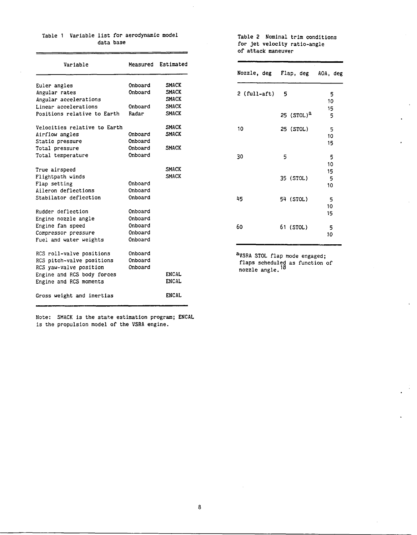# Table 1 Variable list for aerodynamic model data base

 $\cdot$ 

| Variable                     |         | Measured Estimated |
|------------------------------|---------|--------------------|
| Euler angles                 | Onboard | <b>SMACK</b>       |
| Angular rates                | Onboard | <b>SMACK</b>       |
| Angular accelerations        |         | <b>SMACK</b>       |
| Linear accelerations         | Onboard | <b>SMACK</b>       |
| Positions relative to Earth  | Radar   | <b>SMACK</b>       |
| Velocities relative to Earth |         | <b>SMACK</b>       |
| Airflow angles               | Onboard | <b>SMACK</b>       |
| Static pressure              | Onboard |                    |
| Total pressure               | Onboard | <b>SMACK</b>       |
| Total temperature            | Onboard |                    |
| True airspeed                |         | <b>SMACK</b>       |
| Flightpath winds             |         | <b>SMACK</b>       |
| Flap setting                 | Onboard |                    |
| Aileron deflections          | Onboard |                    |
| Stabilator deflection        | Onboard |                    |
| Rudder deflection            | Onboard |                    |
| Engine nozzle angle          | Onboard |                    |
| Engine fan speed             | Onboard |                    |
| Compressor pressure          | Onboard |                    |
| Fuel and water weights       | Onboard |                    |
| RCS roll-valve positions     | Onboard |                    |
| RCS pitch-valve positions    | Onboard |                    |
| RCS yaw-valve position       | Onboard |                    |
| Engine and RCS body forces   |         | <b>ENCAL</b>       |
| Engine and RCS moments       |         | ENCAL              |
| Gross weight and inertias    |         | <b>ENCAL</b>       |

Note: SMACK is the state estimation program; ENCAL is the propulsion model of the VSRA engine.

Table **2** Nominal trim conditions for jet velocity ratio-angle of attack maneuver

| Nozzle, deg Flap, deg AOA, deg |                        |         |
|--------------------------------|------------------------|---------|
| $2$ (full-aft)                 | - 5                    | 5<br>10 |
|                                |                        | 15      |
|                                | 25 (STOL) <sup>a</sup> | -5      |
| 10                             | 25 (STOL)              | 5       |
|                                |                        | 10      |
|                                |                        | 15      |
| 30                             | 5                      | 5       |
|                                |                        | 10      |
|                                |                        | 15      |
|                                | 35 (STOL)              | -5      |
|                                |                        | 10      |
| 45                             | 54 (STOL)              | -5      |
|                                |                        | 10      |
|                                |                        | 15      |
| 60                             | 61 (STOL)              | 5       |
|                                |                        | 10      |
|                                |                        |         |

 $\ddot{\phantom{a}}$ 

avSRA STOL flap mode engaged; flaps scheduled as function of<br>nozzle angle.<sup>18</sup>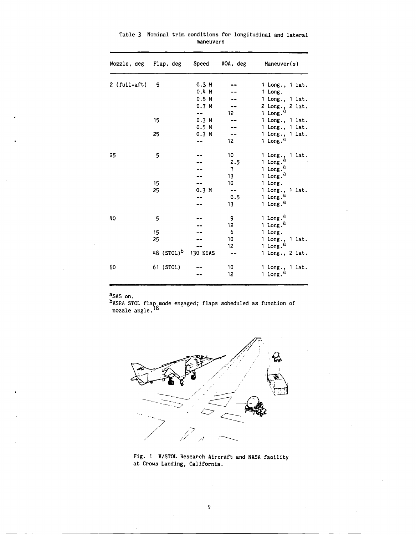| Nozzle, deg Flap, deg |                        |                  | Speed AOA, deg | Maneuver(s)          |  |  |
|-----------------------|------------------------|------------------|----------------|----------------------|--|--|
| 2 (full-aft)          | 5                      | 0.3 <sub>M</sub> |                | $1$ Long., $1$ lat.  |  |  |
|                       |                        | 0.4 <sub>M</sub> |                | 1 Long.              |  |  |
|                       |                        | 0.5M             |                | 1 Long., 1 lat.      |  |  |
|                       |                        | 0.7 <sub>M</sub> |                | 2 Long., 2 lat.      |  |  |
|                       |                        | $- -$            | $12-12$        | 1 Long. <sup>a</sup> |  |  |
|                       | 15                     | 0.3 <sub>M</sub> |                | $1$ Long., $1$ lat.  |  |  |
|                       |                        | 0.5M             |                | $1$ Long., $1$ lat.  |  |  |
|                       | 25                     | 0.3 <sub>M</sub> | --             | 1 Long., 1 lat.      |  |  |
|                       |                        |                  | $12-12$        | 1 Long. <sup>a</sup> |  |  |
| 25                    | 5                      |                  | 10             | 1 Long., 1 lat.      |  |  |
|                       |                        |                  | 2.5            | 1 Long. $^a$         |  |  |
|                       |                        |                  | 7              | 1 Long. <sup>a</sup> |  |  |
|                       |                        |                  | $13 -$         | 1 Long. <sup>a</sup> |  |  |
|                       | 15                     |                  | $10-10$        | 1 Long.              |  |  |
|                       | 25                     | 0.3M             | $\sim$ $\sim$  | 1 Long., 1 lat.      |  |  |
|                       |                        |                  | 0.5            | 1 Long. <sup>a</sup> |  |  |
|                       |                        |                  | $13-13$        | 1 Long. $a$          |  |  |
| 40                    | 5                      |                  | 9              | 1 Long. <sup>a</sup> |  |  |
|                       |                        |                  | 12             | 1 Long. <sup>a</sup> |  |  |
|                       | 15                     |                  | 6              | 1 Long.              |  |  |
|                       | 25                     |                  | 10             | $1$ Long., $1$ lat.  |  |  |
|                       |                        |                  | 12             | 1 Long. <sup>a</sup> |  |  |
|                       | 48 (STOL) <sup>b</sup> | 130 KIAS         |                | $1$ Long., $2$ lat.  |  |  |
| 60                    | 61 (STOL)              |                  | 10             | 1 Long., $1$ lat.    |  |  |
|                       |                        |                  | 12             | 1 Long. <sup>a</sup> |  |  |

Table 3 Nominal trim conditions for longitudinal and lateral maneuvers

 $\frac{4}{3}$ SAS on.

<sup>D</sup>VSRA STOL flap mode engaged; flaps scheduled as function of nozzle angle.'<sup>0</sup>



Fig. 1 V/STOL Research Aircraft and NASA facility at Crows Landing, California.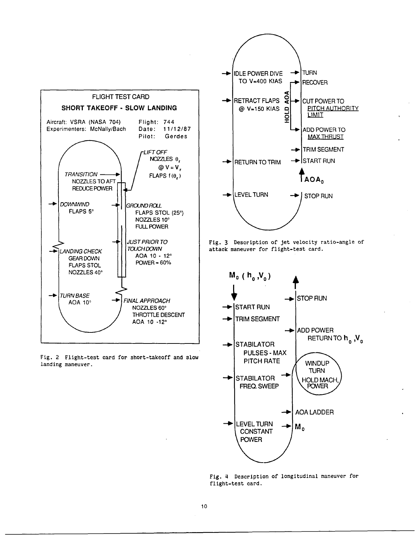

Fig. 2 Flight-test card for short-takeoff and slow landing maneuver.



**Fig. 3** Description of jet velocity ratio-angle of attack maneuver for flight-test card.



Fig. **4** Description of longitudinal maneuver for flight-test card.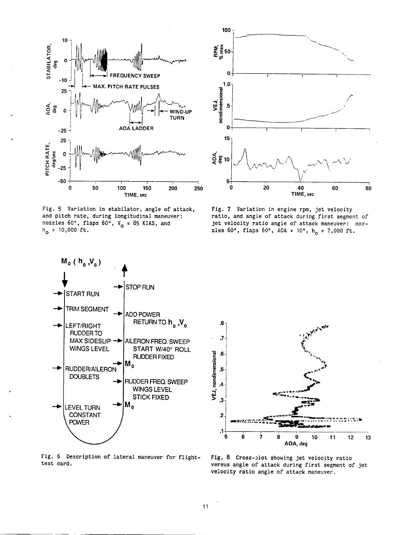

Fig. 5 Variation in stabilator, angle of attack, and pitch rate, during longitudinal maneuver: nozzles 60°, flaps 60°,  $V_o$  = 85 KIAS, and  $h_0 = 10,000$  ft.



Fig. 7 Variation in engine rpm, jet velocity ratio, and angle of attack during first segment of jet velocity ratio angle of attack maneuver: nozzles 60°, flaps 60°, AOA = 10°, h<sub>o</sub> = 7,000 ft.





Fig. 6 Description of lateral maneuver for flighttest card.

Fig. 8 Cross-olot showing jet velocity ratio versus angle of attack during first segment of jet velocity ratio angle of attack maneuver.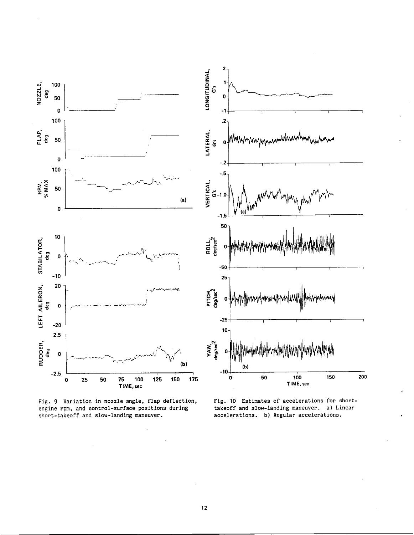



Fig. 10 Estimates of accelerations for shorttakeoff and slow-landing maneuver. a) Linear accelerations. b) Angular accelerations.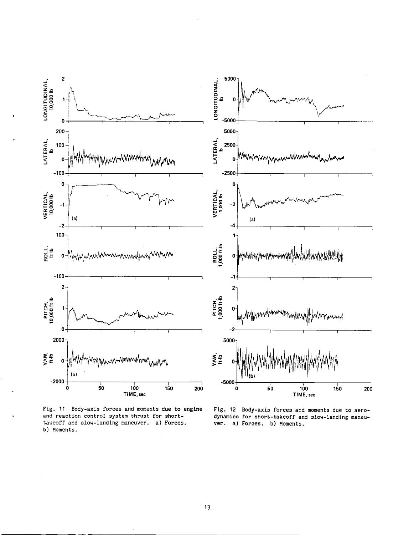

**Fig. 11 Body-axis forces and moments due to engine Fig. 12 Body-axis forces and moments due to aerotakeoff and slow-landing maneuver. a) Forces. ver. a) Forces. b) Moments. b) Moments.** 

dynamics for short-takeoff and slow-landing maneu-